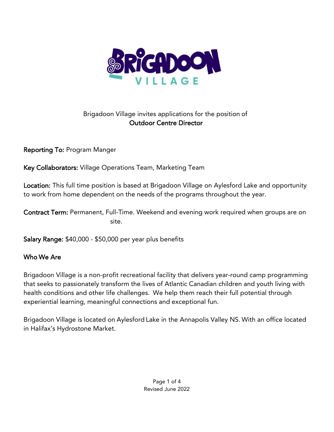

# Brigadoon Village invites applications for the position of Outdoor Centre Director

Reporting To: Program Manger

Key Collaborators: Village Operations Team, Marketing Team

Location: This full time position is based at Brigadoon Village on Aylesford Lake and opportunity to work from home dependent on the needs of the programs throughout the year.

Contract Term: Permanent, Full-Time. Weekend and evening work required when groups are on site.

Salary Range: \$40,000 - \$50,000 per year plus benefits

## Who We Are

Brigadoon Village is a non-profit recreational facility that delivers year-round camp programming that seeks to passionately transform the lives of Atlantic Canadian children and youth living with health conditions and other life challenges. We help them reach their full potential through experiential learning, meaningful connections and exceptional fun.

Brigadoon Village is located on Aylesford Lake in the Annapolis Valley NS. With an office located in Halifax's Hydrostone Market.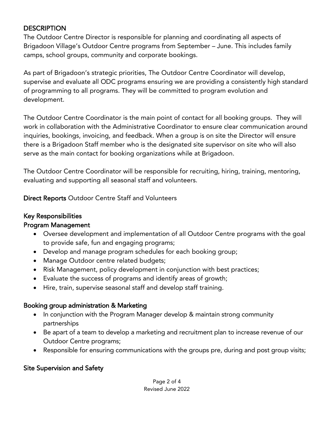### **DESCRIPTION**

The Outdoor Centre Director is responsible for planning and coordinating all aspects of Brigadoon Village's Outdoor Centre programs from September – June. This includes family camps, school groups, community and corporate bookings.

As part of Brigadoon's strategic priorities, The Outdoor Centre Coordinator will develop, supervise and evaluate all ODC programs ensuring we are providing a consistently high standard of programming to all programs. They will be committed to program evolution and development.

The Outdoor Centre Coordinator is the main point of contact for all booking groups. They will work in collaboration with the Administrative Coordinator to ensure clear communication around inquiries, bookings, invoicing, and feedback. When a group is on site the Director will ensure there is a Brigadoon Staff member who is the designated site supervisor on site who will also serve as the main contact for booking organizations while at Brigadoon.

The Outdoor Centre Coordinator will be responsible for recruiting, hiring, training, mentoring, evaluating and supporting all seasonal staff and volunteers.

Direct Reports Outdoor Centre Staff and Volunteers

### Key Responsibilities

### Program Management

- Oversee development and implementation of all Outdoor Centre programs with the goal to provide safe, fun and engaging programs;
- Develop and manage program schedules for each booking group;
- Manage Outdoor centre related budgets;
- Risk Management, policy development in conjunction with best practices;
- Evaluate the success of programs and identify areas of growth;
- Hire, train, supervise seasonal staff and develop staff training.

### Booking group administration & Marketing

- In conjunction with the Program Manager develop & maintain strong community partnerships
- Be apart of a team to develop a marketing and recruitment plan to increase revenue of our Outdoor Centre programs;
- Responsible for ensuring communications with the groups pre, during and post group visits;

### Site Supervision and Safety

#### Page 2 of 4 Revised June 2022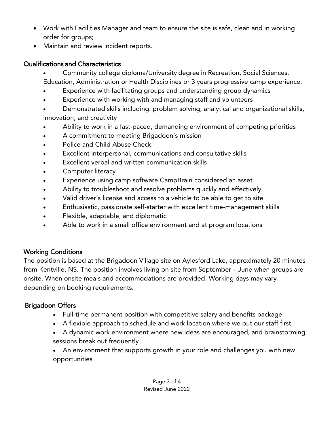- Work with Facilities Manager and team to ensure the site is safe, clean and in working order for groups;
- Maintain and review incident reports.

### Qualifications and Characteristics

- Community college diploma/University degree in Recreation, Social Sciences, Education, Administration or Health Disciplines or 3 years progressive camp experience.
- Experience with facilitating groups and understanding group dynamics
- Experience with working with and managing staff and volunteers
- Demonstrated skills including: problem solving, analytical and organizational skills, innovation, and creativity
- Ability to work in a fast-paced, demanding environment of competing priorities
- A commitment to meeting Brigadoon's mission
- Police and Child Abuse Check
- Excellent interpersonal, communications and consultative skills
- Excellent verbal and written communication skills
- Computer literacy
- Experience using camp software CampBrain considered an asset
- Ability to troubleshoot and resolve problems quickly and effectively
- Valid driver's license and access to a vehicle to be able to get to site
- Enthusiastic, passionate self-starter with excellent time-management skills
- Flexible, adaptable, and diplomatic
- Able to work in a small office environment and at program locations

# Working Conditions

The position is based at the Brigadoon Village site on Aylesford Lake, approximately 20 minutes from Kentville, NS. The position involves living on site from September – June when groups are onsite. When onsite meals and accommodations are provided. Working days may vary depending on booking requirements.

# Brigadoon Offers

- Full-time permanent position with competitive salary and benefits package
- A flexible approach to schedule and work location where we put our staff first
- A dynamic work environment where new ideas are encouraged, and brainstorming sessions break out frequently
- An environment that supports growth in your role and challenges you with new opportunities